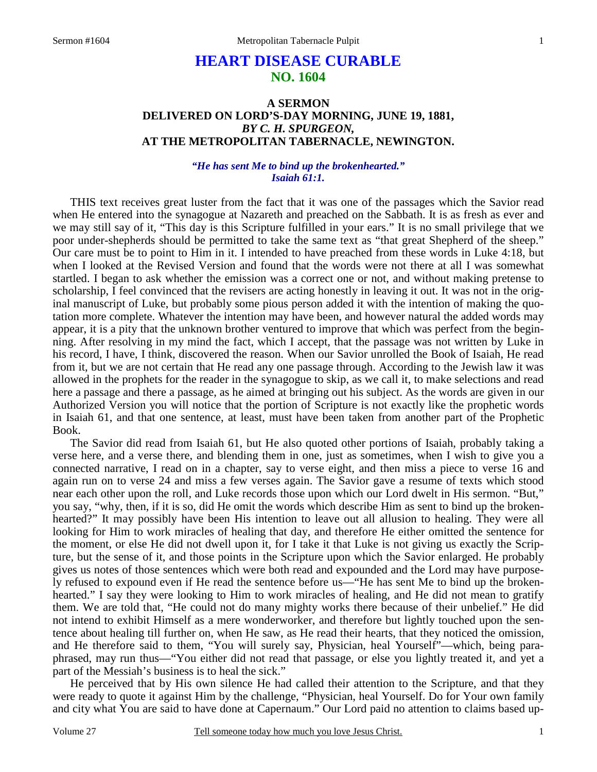# **HEART DISEASE CURABLE NO. 1604**

# **A SERMON DELIVERED ON LORD'S-DAY MORNING, JUNE 19, 1881,**  *BY C. H. SPURGEON,*  **AT THE METROPOLITAN TABERNACLE, NEWINGTON.**

### *"He has sent Me to bind up the brokenhearted." Isaiah 61:1.*

THIS text receives great luster from the fact that it was one of the passages which the Savior read when He entered into the synagogue at Nazareth and preached on the Sabbath. It is as fresh as ever and we may still say of it, "This day is this Scripture fulfilled in your ears." It is no small privilege that we poor under-shepherds should be permitted to take the same text as "that great Shepherd of the sheep." Our care must be to point to Him in it. I intended to have preached from these words in Luke 4:18, but when I looked at the Revised Version and found that the words were not there at all I was somewhat startled. I began to ask whether the emission was a correct one or not, and without making pretense to scholarship, I feel convinced that the revisers are acting honestly in leaving it out. It was not in the original manuscript of Luke, but probably some pious person added it with the intention of making the quotation more complete. Whatever the intention may have been, and however natural the added words may appear, it is a pity that the unknown brother ventured to improve that which was perfect from the beginning. After resolving in my mind the fact, which I accept, that the passage was not written by Luke in his record, I have, I think, discovered the reason. When our Savior unrolled the Book of Isaiah, He read from it, but we are not certain that He read any one passage through. According to the Jewish law it was allowed in the prophets for the reader in the synagogue to skip, as we call it, to make selections and read here a passage and there a passage, as he aimed at bringing out his subject. As the words are given in our Authorized Version you will notice that the portion of Scripture is not exactly like the prophetic words in Isaiah 61, and that one sentence, at least, must have been taken from another part of the Prophetic Book.

 The Savior did read from Isaiah 61, but He also quoted other portions of Isaiah, probably taking a verse here, and a verse there, and blending them in one, just as sometimes, when I wish to give you a connected narrative, I read on in a chapter, say to verse eight, and then miss a piece to verse 16 and again run on to verse 24 and miss a few verses again. The Savior gave a resume of texts which stood near each other upon the roll, and Luke records those upon which our Lord dwelt in His sermon. "But," you say, "why, then, if it is so, did He omit the words which describe Him as sent to bind up the brokenhearted?" It may possibly have been His intention to leave out all allusion to healing. They were all looking for Him to work miracles of healing that day, and therefore He either omitted the sentence for the moment, or else He did not dwell upon it, for I take it that Luke is not giving us exactly the Scripture, but the sense of it, and those points in the Scripture upon which the Savior enlarged. He probably gives us notes of those sentences which were both read and expounded and the Lord may have purposely refused to expound even if He read the sentence before us—"He has sent Me to bind up the brokenhearted." I say they were looking to Him to work miracles of healing, and He did not mean to gratify them. We are told that, "He could not do many mighty works there because of their unbelief." He did not intend to exhibit Himself as a mere wonderworker, and therefore but lightly touched upon the sentence about healing till further on, when He saw, as He read their hearts, that they noticed the omission, and He therefore said to them, "You will surely say, Physician, heal Yourself"—which, being paraphrased, may run thus—"You either did not read that passage, or else you lightly treated it, and yet a part of the Messiah's business is to heal the sick."

 He perceived that by His own silence He had called their attention to the Scripture, and that they were ready to quote it against Him by the challenge, "Physician, heal Yourself. Do for Your own family and city what You are said to have done at Capernaum." Our Lord paid no attention to claims based up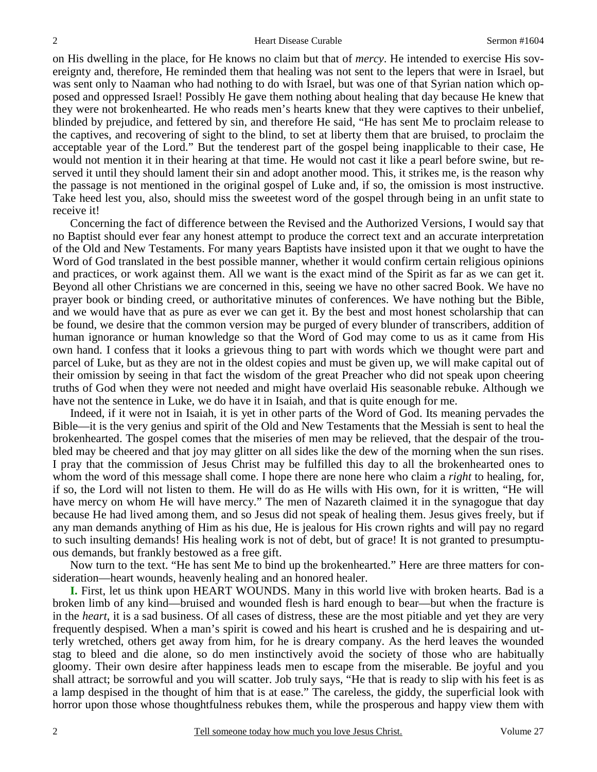on His dwelling in the place, for He knows no claim but that of *mercy*. He intended to exercise His sovereignty and, therefore, He reminded them that healing was not sent to the lepers that were in Israel, but was sent only to Naaman who had nothing to do with Israel, but was one of that Syrian nation which opposed and oppressed Israel! Possibly He gave them nothing about healing that day because He knew that they were not brokenhearted. He who reads men's hearts knew that they were captives to their unbelief, blinded by prejudice, and fettered by sin, and therefore He said, "He has sent Me to proclaim release to the captives, and recovering of sight to the blind, to set at liberty them that are bruised, to proclaim the acceptable year of the Lord." But the tenderest part of the gospel being inapplicable to their case, He would not mention it in their hearing at that time. He would not cast it like a pearl before swine, but reserved it until they should lament their sin and adopt another mood. This, it strikes me, is the reason why the passage is not mentioned in the original gospel of Luke and, if so, the omission is most instructive. Take heed lest you, also, should miss the sweetest word of the gospel through being in an unfit state to receive it!

 Concerning the fact of difference between the Revised and the Authorized Versions, I would say that no Baptist should ever fear any honest attempt to produce the correct text and an accurate interpretation of the Old and New Testaments. For many years Baptists have insisted upon it that we ought to have the Word of God translated in the best possible manner, whether it would confirm certain religious opinions and practices, or work against them. All we want is the exact mind of the Spirit as far as we can get it. Beyond all other Christians we are concerned in this, seeing we have no other sacred Book. We have no prayer book or binding creed, or authoritative minutes of conferences. We have nothing but the Bible, and we would have that as pure as ever we can get it. By the best and most honest scholarship that can be found, we desire that the common version may be purged of every blunder of transcribers, addition of human ignorance or human knowledge so that the Word of God may come to us as it came from His own hand. I confess that it looks a grievous thing to part with words which we thought were part and parcel of Luke, but as they are not in the oldest copies and must be given up, we will make capital out of their omission by seeing in that fact the wisdom of the great Preacher who did not speak upon cheering truths of God when they were not needed and might have overlaid His seasonable rebuke. Although we have not the sentence in Luke, we do have it in Isaiah, and that is quite enough for me.

 Indeed, if it were not in Isaiah, it is yet in other parts of the Word of God. Its meaning pervades the Bible—it is the very genius and spirit of the Old and New Testaments that the Messiah is sent to heal the brokenhearted. The gospel comes that the miseries of men may be relieved, that the despair of the troubled may be cheered and that joy may glitter on all sides like the dew of the morning when the sun rises. I pray that the commission of Jesus Christ may be fulfilled this day to all the brokenhearted ones to whom the word of this message shall come. I hope there are none here who claim a *right* to healing, for, if so, the Lord will not listen to them. He will do as He wills with His own, for it is written, "He will have mercy on whom He will have mercy." The men of Nazareth claimed it in the synagogue that day because He had lived among them, and so Jesus did not speak of healing them. Jesus gives freely, but if any man demands anything of Him as his due, He is jealous for His crown rights and will pay no regard to such insulting demands! His healing work is not of debt, but of grace! It is not granted to presumptuous demands, but frankly bestowed as a free gift.

 Now turn to the text. "He has sent Me to bind up the brokenhearted." Here are three matters for consideration—heart wounds, heavenly healing and an honored healer.

 **I.** First, let us think upon HEART WOUNDS. Many in this world live with broken hearts. Bad is a broken limb of any kind—bruised and wounded flesh is hard enough to bear—but when the fracture is in the *heart*, it is a sad business. Of all cases of distress, these are the most pitiable and yet they are very frequently despised. When a man's spirit is cowed and his heart is crushed and he is despairing and utterly wretched, others get away from him, for he is dreary company. As the herd leaves the wounded stag to bleed and die alone, so do men instinctively avoid the society of those who are habitually gloomy. Their own desire after happiness leads men to escape from the miserable. Be joyful and you shall attract; be sorrowful and you will scatter. Job truly says, "He that is ready to slip with his feet is as a lamp despised in the thought of him that is at ease." The careless, the giddy, the superficial look with horror upon those whose thoughtfulness rebukes them, while the prosperous and happy view them with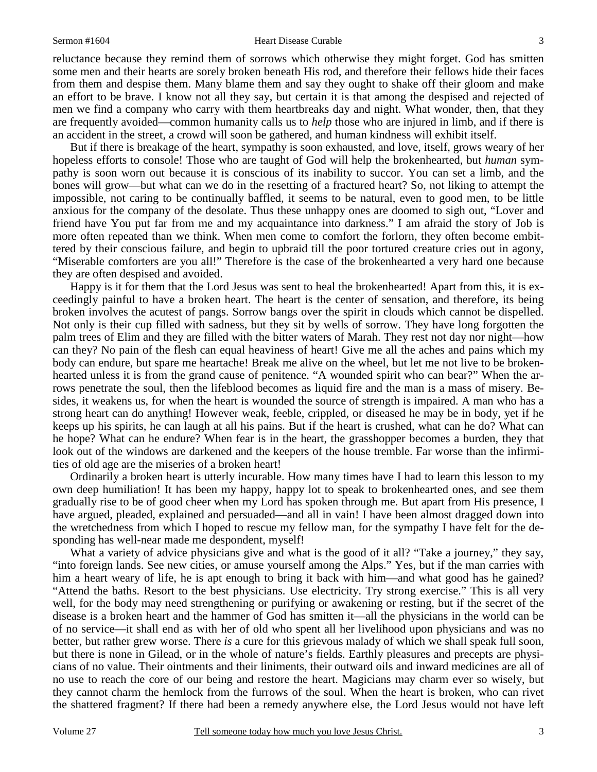#### Sermon #1604 **Sermon #1604** Heart Disease Curable 3

reluctance because they remind them of sorrows which otherwise they might forget. God has smitten some men and their hearts are sorely broken beneath His rod, and therefore their fellows hide their faces from them and despise them. Many blame them and say they ought to shake off their gloom and make an effort to be brave. I know not all they say, but certain it is that among the despised and rejected of men we find a company who carry with them heartbreaks day and night. What wonder, then, that they are frequently avoided—common humanity calls us to *help* those who are injured in limb, and if there is an accident in the street, a crowd will soon be gathered, and human kindness will exhibit itself.

 But if there is breakage of the heart, sympathy is soon exhausted, and love, itself, grows weary of her hopeless efforts to console! Those who are taught of God will help the brokenhearted, but *human* sympathy is soon worn out because it is conscious of its inability to succor. You can set a limb, and the bones will grow—but what can we do in the resetting of a fractured heart? So, not liking to attempt the impossible, not caring to be continually baffled, it seems to be natural, even to good men, to be little anxious for the company of the desolate. Thus these unhappy ones are doomed to sigh out, "Lover and friend have You put far from me and my acquaintance into darkness." I am afraid the story of Job is more often repeated than we think. When men come to comfort the forlorn, they often become embittered by their conscious failure, and begin to upbraid till the poor tortured creature cries out in agony, "Miserable comforters are you all!" Therefore is the case of the brokenhearted a very hard one because they are often despised and avoided.

 Happy is it for them that the Lord Jesus was sent to heal the brokenhearted! Apart from this, it is exceedingly painful to have a broken heart. The heart is the center of sensation, and therefore, its being broken involves the acutest of pangs. Sorrow bangs over the spirit in clouds which cannot be dispelled. Not only is their cup filled with sadness, but they sit by wells of sorrow. They have long forgotten the palm trees of Elim and they are filled with the bitter waters of Marah. They rest not day nor night—how can they? No pain of the flesh can equal heaviness of heart! Give me all the aches and pains which my body can endure, but spare me heartache! Break me alive on the wheel, but let me not live to be brokenhearted unless it is from the grand cause of penitence. "A wounded spirit who can bear?" When the arrows penetrate the soul, then the lifeblood becomes as liquid fire and the man is a mass of misery. Besides, it weakens us, for when the heart is wounded the source of strength is impaired. A man who has a strong heart can do anything! However weak, feeble, crippled, or diseased he may be in body, yet if he keeps up his spirits, he can laugh at all his pains. But if the heart is crushed, what can he do? What can he hope? What can he endure? When fear is in the heart, the grasshopper becomes a burden, they that look out of the windows are darkened and the keepers of the house tremble. Far worse than the infirmities of old age are the miseries of a broken heart!

 Ordinarily a broken heart is utterly incurable. How many times have I had to learn this lesson to my own deep humiliation! It has been my happy, happy lot to speak to brokenhearted ones, and see them gradually rise to be of good cheer when my Lord has spoken through me. But apart from His presence, I have argued, pleaded, explained and persuaded—and all in vain! I have been almost dragged down into the wretchedness from which I hoped to rescue my fellow man, for the sympathy I have felt for the desponding has well-near made me despondent, myself!

What a variety of advice physicians give and what is the good of it all? "Take a journey," they say, "into foreign lands. See new cities, or amuse yourself among the Alps." Yes, but if the man carries with him a heart weary of life, he is apt enough to bring it back with him—and what good has he gained? "Attend the baths. Resort to the best physicians. Use electricity. Try strong exercise." This is all very well, for the body may need strengthening or purifying or awakening or resting, but if the secret of the disease is a broken heart and the hammer of God has smitten it—all the physicians in the world can be of no service—it shall end as with her of old who spent all her livelihood upon physicians and was no better, but rather grew worse. There *is* a cure for this grievous malady of which we shall speak full soon, but there is none in Gilead, or in the whole of nature's fields. Earthly pleasures and precepts are physicians of no value. Their ointments and their liniments, their outward oils and inward medicines are all of no use to reach the core of our being and restore the heart. Magicians may charm ever so wisely, but they cannot charm the hemlock from the furrows of the soul. When the heart is broken, who can rivet the shattered fragment? If there had been a remedy anywhere else, the Lord Jesus would not have left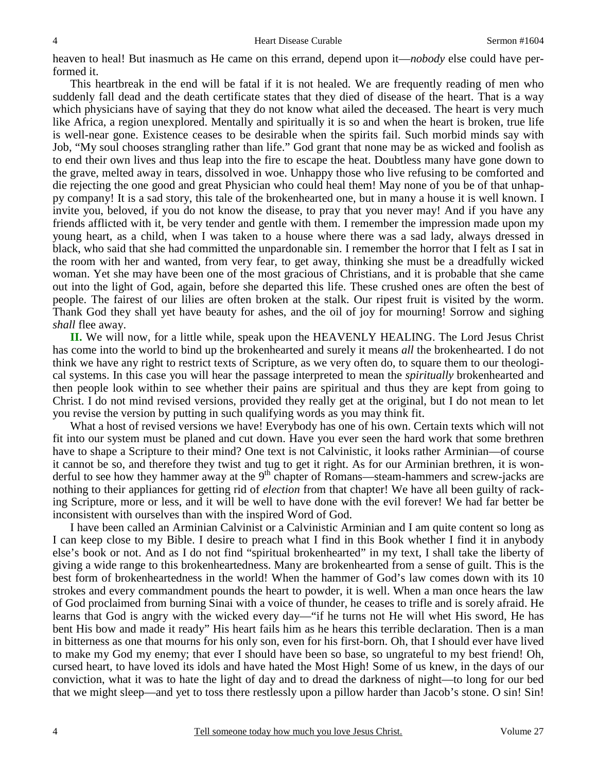heaven to heal! But inasmuch as He came on this errand, depend upon it—*nobody* else could have performed it.

 This heartbreak in the end will be fatal if it is not healed. We are frequently reading of men who suddenly fall dead and the death certificate states that they died of disease of the heart. That is a way which physicians have of saying that they do not know what ailed the deceased. The heart is very much like Africa, a region unexplored. Mentally and spiritually it is so and when the heart is broken, true life is well-near gone. Existence ceases to be desirable when the spirits fail. Such morbid minds say with Job, "My soul chooses strangling rather than life." God grant that none may be as wicked and foolish as to end their own lives and thus leap into the fire to escape the heat. Doubtless many have gone down to the grave, melted away in tears, dissolved in woe. Unhappy those who live refusing to be comforted and die rejecting the one good and great Physician who could heal them! May none of you be of that unhappy company! It is a sad story, this tale of the brokenhearted one, but in many a house it is well known. I invite you, beloved, if you do not know the disease, to pray that you never may! And if you have any friends afflicted with it, be very tender and gentle with them. I remember the impression made upon my young heart, as a child, when I was taken to a house where there was a sad lady, always dressed in black, who said that she had committed the unpardonable sin. I remember the horror that I felt as I sat in the room with her and wanted, from very fear, to get away, thinking she must be a dreadfully wicked woman. Yet she may have been one of the most gracious of Christians, and it is probable that she came out into the light of God, again, before she departed this life. These crushed ones are often the best of people. The fairest of our lilies are often broken at the stalk. Our ripest fruit is visited by the worm. Thank God they shall yet have beauty for ashes, and the oil of joy for mourning! Sorrow and sighing *shall* flee away.

**II.** We will now, for a little while, speak upon the HEAVENLY HEALING. The Lord Jesus Christ has come into the world to bind up the brokenhearted and surely it means *all* the brokenhearted. I do not think we have any right to restrict texts of Scripture, as we very often do, to square them to our theological systems. In this case you will hear the passage interpreted to mean the *spiritually* brokenhearted and then people look within to see whether their pains are spiritual and thus they are kept from going to Christ. I do not mind revised versions, provided they really get at the original, but I do not mean to let you revise the version by putting in such qualifying words as you may think fit.

 What a host of revised versions we have! Everybody has one of his own. Certain texts which will not fit into our system must be planed and cut down. Have you ever seen the hard work that some brethren have to shape a Scripture to their mind? One text is not Calvinistic, it looks rather Arminian—of course it cannot be so, and therefore they twist and tug to get it right. As for our Arminian brethren, it is wonderful to see how they hammer away at the  $9<sup>th</sup>$  chapter of Romans—steam-hammers and screw-jacks are nothing to their appliances for getting rid of *election* from that chapter! We have all been guilty of racking Scripture, more or less, and it will be well to have done with the evil forever! We had far better be inconsistent with ourselves than with the inspired Word of God.

 I have been called an Arminian Calvinist or a Calvinistic Arminian and I am quite content so long as I can keep close to my Bible. I desire to preach what I find in this Book whether I find it in anybody else's book or not. And as I do not find "spiritual brokenhearted" in my text, I shall take the liberty of giving a wide range to this brokenheartedness. Many are brokenhearted from a sense of guilt. This is the best form of brokenheartedness in the world! When the hammer of God's law comes down with its 10 strokes and every commandment pounds the heart to powder, it is well. When a man once hears the law of God proclaimed from burning Sinai with a voice of thunder, he ceases to trifle and is sorely afraid. He learns that God is angry with the wicked every day—"if he turns not He will whet His sword, He has bent His bow and made it ready" His heart fails him as he hears this terrible declaration. Then is a man in bitterness as one that mourns for his only son, even for his first-born. Oh, that I should ever have lived to make my God my enemy; that ever I should have been so base, so ungrateful to my best friend! Oh, cursed heart, to have loved its idols and have hated the Most High! Some of us knew, in the days of our conviction, what it was to hate the light of day and to dread the darkness of night—to long for our bed that we might sleep—and yet to toss there restlessly upon a pillow harder than Jacob's stone. O sin! Sin!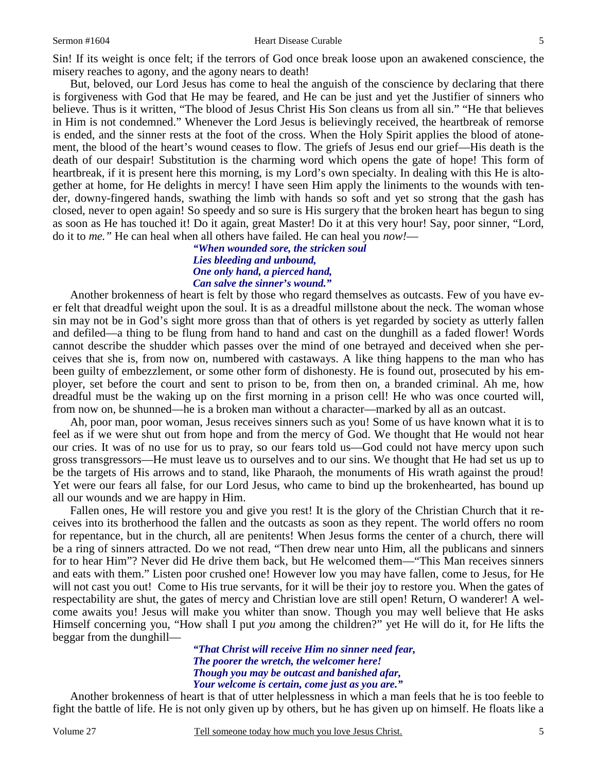But, beloved, our Lord Jesus has come to heal the anguish of the conscience by declaring that there is forgiveness with God that He may be feared, and He can be just and yet the Justifier of sinners who believe. Thus is it written, "The blood of Jesus Christ His Son cleans us from all sin." "He that believes in Him is not condemned." Whenever the Lord Jesus is believingly received, the heartbreak of remorse is ended, and the sinner rests at the foot of the cross. When the Holy Spirit applies the blood of atonement, the blood of the heart's wound ceases to flow. The griefs of Jesus end our grief—His death is the death of our despair! Substitution is the charming word which opens the gate of hope! This form of heartbreak, if it is present here this morning, is my Lord's own specialty. In dealing with this He is altogether at home, for He delights in mercy! I have seen Him apply the liniments to the wounds with tender, downy-fingered hands, swathing the limb with hands so soft and yet so strong that the gash has closed, never to open again! So speedy and so sure is His surgery that the broken heart has begun to sing as soon as He has touched it! Do it again, great Master! Do it at this very hour! Say, poor sinner, "Lord, do it to *me."* He can heal when all others have failed. He can heal you *now!*—

> *"When wounded sore, the stricken soul Lies bleeding and unbound, One only hand, a pierced hand, Can salve the sinner's wound."*

 Another brokenness of heart is felt by those who regard themselves as outcasts. Few of you have ever felt that dreadful weight upon the soul. It is as a dreadful millstone about the neck. The woman whose sin may not be in God's sight more gross than that of others is yet regarded by society as utterly fallen and defiled—a thing to be flung from hand to hand and cast on the dunghill as a faded flower! Words cannot describe the shudder which passes over the mind of one betrayed and deceived when she perceives that she is, from now on, numbered with castaways. A like thing happens to the man who has been guilty of embezzlement, or some other form of dishonesty. He is found out, prosecuted by his employer, set before the court and sent to prison to be, from then on, a branded criminal. Ah me, how dreadful must be the waking up on the first morning in a prison cell! He who was once courted will, from now on, be shunned—he is a broken man without a character—marked by all as an outcast.

 Ah, poor man, poor woman, Jesus receives sinners such as you! Some of us have known what it is to feel as if we were shut out from hope and from the mercy of God. We thought that He would not hear our cries. It was of no use for us to pray, so our fears told us—God could not have mercy upon such gross transgressors—He must leave us to ourselves and to our sins. We thought that He had set us up to be the targets of His arrows and to stand, like Pharaoh, the monuments of His wrath against the proud! Yet were our fears all false, for our Lord Jesus, who came to bind up the brokenhearted, has bound up all our wounds and we are happy in Him.

 Fallen ones, He will restore you and give you rest! It is the glory of the Christian Church that it receives into its brotherhood the fallen and the outcasts as soon as they repent. The world offers no room for repentance, but in the church, all are penitents! When Jesus forms the center of a church, there will be a ring of sinners attracted. Do we not read, "Then drew near unto Him, all the publicans and sinners for to hear Him"? Never did He drive them back, but He welcomed them—"This Man receives sinners and eats with them." Listen poor crushed one! However low you may have fallen, come to Jesus, for He will not cast you out! Come to His true servants, for it will be their joy to restore you. When the gates of respectability are shut, the gates of mercy and Christian love are still open! Return, O wanderer! A welcome awaits you! Jesus will make you whiter than snow. Though you may well believe that He asks Himself concerning you, "How shall I put *you* among the children?" yet He will do it, for He lifts the beggar from the dunghill—

> *"That Christ will receive Him no sinner need fear, The poorer the wretch, the welcomer here! Though you may be outcast and banished afar, Your welcome is certain, come just as you are."*

 Another brokenness of heart is that of utter helplessness in which a man feels that he is too feeble to fight the battle of life. He is not only given up by others, but he has given up on himself. He floats like a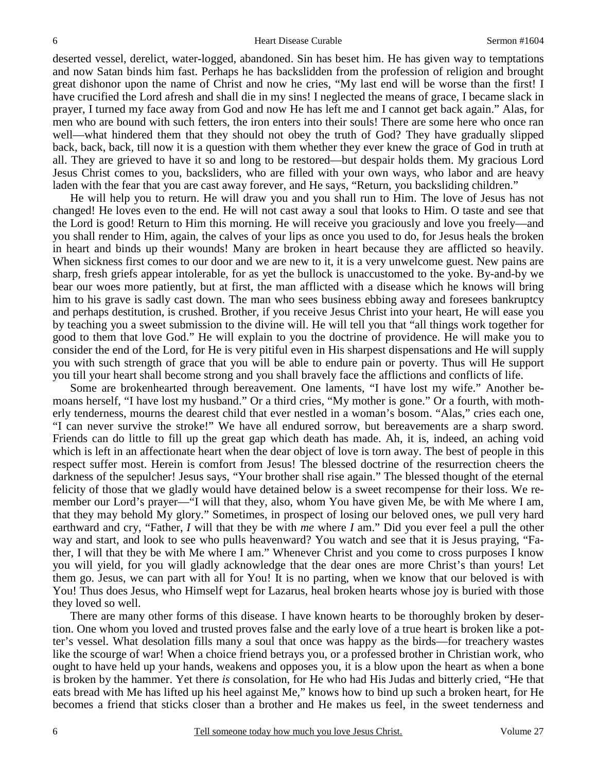deserted vessel, derelict, water-logged, abandoned. Sin has beset him. He has given way to temptations and now Satan binds him fast. Perhaps he has backslidden from the profession of religion and brought great dishonor upon the name of Christ and now he cries, "My last end will be worse than the first! I have crucified the Lord afresh and shall die in my sins! I neglected the means of grace, I became slack in prayer, I turned my face away from God and now He has left me and I cannot get back again." Alas, for men who are bound with such fetters, the iron enters into their souls! There are some here who once ran well—what hindered them that they should not obey the truth of God? They have gradually slipped back, back, back, till now it is a question with them whether they ever knew the grace of God in truth at all. They are grieved to have it so and long to be restored—but despair holds them. My gracious Lord Jesus Christ comes to you, backsliders, who are filled with your own ways, who labor and are heavy laden with the fear that you are cast away forever, and He says, "Return, you backsliding children."

 He will help you to return. He will draw you and you shall run to Him. The love of Jesus has not changed! He loves even to the end. He will not cast away a soul that looks to Him. O taste and see that the Lord is good! Return to Him this morning. He will receive you graciously and love you freely—and you shall render to Him, again, the calves of your lips as once you used to do, for Jesus heals the broken in heart and binds up their wounds! Many are broken in heart because they are afflicted so heavily. When sickness first comes to our door and we are new to it, it is a very unwelcome guest. New pains are sharp, fresh griefs appear intolerable, for as yet the bullock is unaccustomed to the yoke. By-and-by we bear our woes more patiently, but at first, the man afflicted with a disease which he knows will bring him to his grave is sadly cast down. The man who sees business ebbing away and foresees bankruptcy and perhaps destitution, is crushed. Brother, if you receive Jesus Christ into your heart, He will ease you by teaching you a sweet submission to the divine will. He will tell you that "all things work together for good to them that love God." He will explain to you the doctrine of providence. He will make you to consider the end of the Lord, for He is very pitiful even in His sharpest dispensations and He will supply you with such strength of grace that you will be able to endure pain or poverty. Thus will He support you till your heart shall become strong and you shall bravely face the afflictions and conflicts of life.

 Some are brokenhearted through bereavement. One laments, "I have lost my wife." Another bemoans herself, "I have lost my husband." Or a third cries, "My mother is gone." Or a fourth, with motherly tenderness, mourns the dearest child that ever nestled in a woman's bosom. "Alas," cries each one, "I can never survive the stroke!" We have all endured sorrow, but bereavements are a sharp sword. Friends can do little to fill up the great gap which death has made. Ah, it is, indeed, an aching void which is left in an affectionate heart when the dear object of love is torn away. The best of people in this respect suffer most. Herein is comfort from Jesus! The blessed doctrine of the resurrection cheers the darkness of the sepulcher! Jesus says, "Your brother shall rise again." The blessed thought of the eternal felicity of those that we gladly would have detained below is a sweet recompense for their loss. We remember our Lord's prayer—"I will that they, also, whom You have given Me, be with Me where I am, that they may behold My glory." Sometimes, in prospect of losing our beloved ones, we pull very hard earthward and cry, "Father, *I* will that they be with *me* where *I* am." Did you ever feel a pull the other way and start, and look to see who pulls heavenward? You watch and see that it is Jesus praying, "Father, I will that they be with Me where I am." Whenever Christ and you come to cross purposes I know you will yield, for you will gladly acknowledge that the dear ones are more Christ's than yours! Let them go. Jesus, we can part with all for You! It is no parting, when we know that our beloved is with You! Thus does Jesus, who Himself wept for Lazarus, heal broken hearts whose joy is buried with those they loved so well.

 There are many other forms of this disease. I have known hearts to be thoroughly broken by desertion. One whom you loved and trusted proves false and the early love of a true heart is broken like a potter's vessel. What desolation fills many a soul that once was happy as the birds—for treachery wastes like the scourge of war! When a choice friend betrays you, or a professed brother in Christian work, who ought to have held up your hands, weakens and opposes you, it is a blow upon the heart as when a bone is broken by the hammer. Yet there *is* consolation, for He who had His Judas and bitterly cried, "He that eats bread with Me has lifted up his heel against Me," knows how to bind up such a broken heart, for He becomes a friend that sticks closer than a brother and He makes us feel, in the sweet tenderness and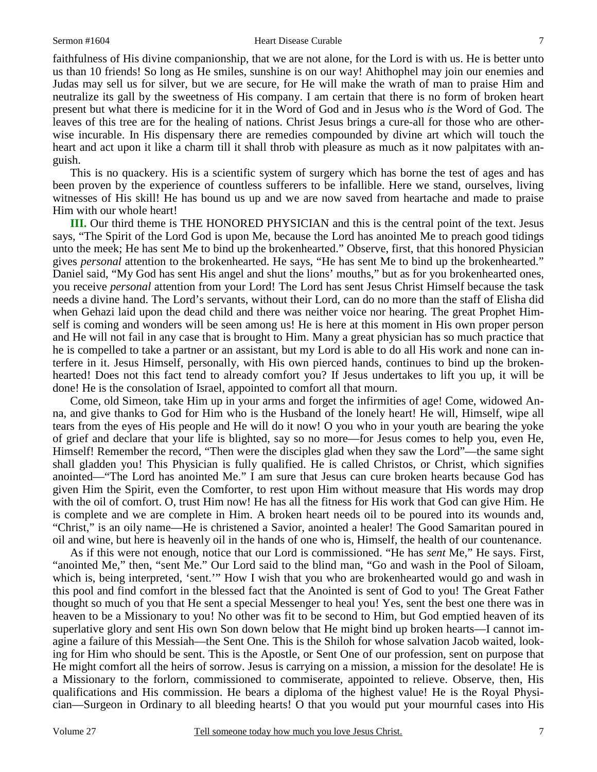faithfulness of His divine companionship, that we are not alone, for the Lord is with us. He is better unto us than 10 friends! So long as He smiles, sunshine is on our way! Ahithophel may join our enemies and Judas may sell us for silver, but we are secure, for He will make the wrath of man to praise Him and neutralize its gall by the sweetness of His company. I am certain that there is no form of broken heart present but what there is medicine for it in the Word of God and in Jesus who *is* the Word of God. The leaves of this tree are for the healing of nations. Christ Jesus brings a cure-all for those who are otherwise incurable. In His dispensary there are remedies compounded by divine art which will touch the heart and act upon it like a charm till it shall throb with pleasure as much as it now palpitates with anguish.

 This is no quackery. His is a scientific system of surgery which has borne the test of ages and has been proven by the experience of countless sufferers to be infallible. Here we stand, ourselves, living witnesses of His skill! He has bound us up and we are now saved from heartache and made to praise Him with our whole heart!

**III.** Our third theme is THE HONORED PHYSICIAN and this is the central point of the text. Jesus says, "The Spirit of the Lord God is upon Me, because the Lord has anointed Me to preach good tidings unto the meek; He has sent Me to bind up the brokenhearted." Observe, first, that this honored Physician gives *personal* attention to the brokenhearted. He says, "He has sent Me to bind up the brokenhearted." Daniel said, "My God has sent His angel and shut the lions' mouths," but as for you brokenhearted ones, you receive *personal* attention from your Lord! The Lord has sent Jesus Christ Himself because the task needs a divine hand. The Lord's servants, without their Lord, can do no more than the staff of Elisha did when Gehazi laid upon the dead child and there was neither voice nor hearing. The great Prophet Himself is coming and wonders will be seen among us! He is here at this moment in His own proper person and He will not fail in any case that is brought to Him. Many a great physician has so much practice that he is compelled to take a partner or an assistant, but my Lord is able to do all His work and none can interfere in it. Jesus Himself, personally, with His own pierced hands, continues to bind up the brokenhearted! Does not this fact tend to already comfort you? If Jesus undertakes to lift you up, it will be done! He is the consolation of Israel, appointed to comfort all that mourn.

 Come, old Simeon, take Him up in your arms and forget the infirmities of age! Come, widowed Anna, and give thanks to God for Him who is the Husband of the lonely heart! He will, Himself, wipe all tears from the eyes of His people and He will do it now! O you who in your youth are bearing the yoke of grief and declare that your life is blighted, say so no more—for Jesus comes to help you, even He, Himself! Remember the record, "Then were the disciples glad when they saw the Lord"—the same sight shall gladden you! This Physician is fully qualified. He is called Christos, or Christ, which signifies anointed—"The Lord has anointed Me." I am sure that Jesus can cure broken hearts because God has given Him the Spirit, even the Comforter, to rest upon Him without measure that His words may drop with the oil of comfort. O, trust Him now! He has all the fitness for His work that God can give Him. He is complete and we are complete in Him. A broken heart needs oil to be poured into its wounds and, "Christ," is an oily name—He is christened a Savior, anointed a healer! The Good Samaritan poured in oil and wine, but here is heavenly oil in the hands of one who is, Himself, the health of our countenance.

 As if this were not enough, notice that our Lord is commissioned. "He has *sent* Me," He says. First, "anointed Me," then, "sent Me." Our Lord said to the blind man, "Go and wash in the Pool of Siloam, which is, being interpreted, 'sent.'" How I wish that you who are brokenhearted would go and wash in this pool and find comfort in the blessed fact that the Anointed is sent of God to you! The Great Father thought so much of you that He sent a special Messenger to heal you! Yes, sent the best one there was in heaven to be a Missionary to you! No other was fit to be second to Him, but God emptied heaven of its superlative glory and sent His own Son down below that He might bind up broken hearts—I cannot imagine a failure of this Messiah—the Sent One. This is the Shiloh for whose salvation Jacob waited, looking for Him who should be sent. This is the Apostle, or Sent One of our profession, sent on purpose that He might comfort all the heirs of sorrow. Jesus is carrying on a mission, a mission for the desolate! He is a Missionary to the forlorn, commissioned to commiserate, appointed to relieve. Observe, then, His qualifications and His commission. He bears a diploma of the highest value! He is the Royal Physician—Surgeon in Ordinary to all bleeding hearts! O that you would put your mournful cases into His